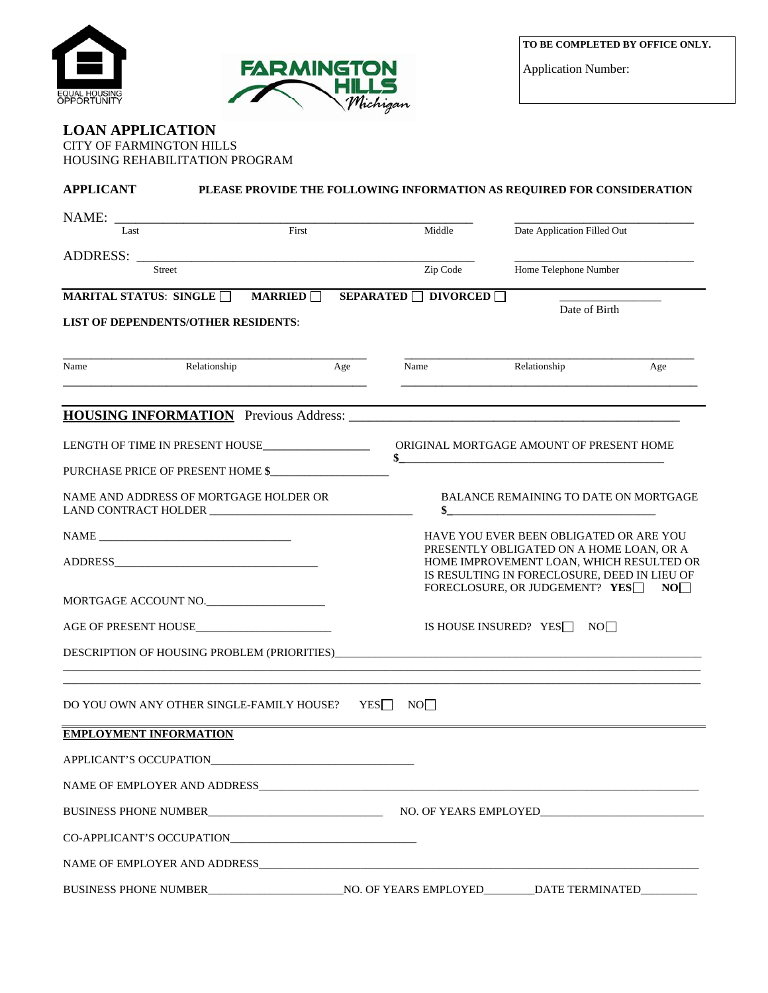



Application Number:

## **LOAN APPLICATION**  CITY OF FARMINGTON HILLS HOUSING REHABILITATION PROGRAM

| <b>APPLICANT</b>              |                                                    |     |                                                 | PLEASE PROVIDE THE FOLLOWING INFORMATION AS REQUIRED FOR CONSIDERATION               |                 |
|-------------------------------|----------------------------------------------------|-----|-------------------------------------------------|--------------------------------------------------------------------------------------|-----------------|
| NAME:<br>First<br>Last        |                                                    |     | Middle                                          | Date Application Filled Out                                                          |                 |
| <b>ADDRESS:</b>               |                                                    |     |                                                 |                                                                                      |                 |
|                               | <b>Street</b>                                      |     | Zip Code                                        | Home Telephone Number                                                                |                 |
| MARITAL STATUS: SINGLE        |                                                    |     | MARRIED $\Box$ SEPARATED $\Box$ DIVORCED $\Box$ | Date of Birth                                                                        |                 |
|                               | <b>LIST OF DEPENDENTS/OTHER RESIDENTS:</b>         |     |                                                 |                                                                                      |                 |
| Name                          | Relationship                                       | Age | Name                                            | Relationship                                                                         | Age             |
|                               |                                                    |     |                                                 |                                                                                      |                 |
|                               | LENGTH OF TIME IN PRESENT HOUSE___________________ |     |                                                 | ORIGINAL MORTGAGE AMOUNT OF PRESENT HOME                                             |                 |
|                               | PURCHASE PRICE OF PRESENT HOME \$                  |     |                                                 |                                                                                      |                 |
|                               | NAME AND ADDRESS OF MORTGAGE HOLDER OR             |     |                                                 | <b>BALANCE REMAINING TO DATE ON MORTGAGE</b><br>\$                                   |                 |
|                               |                                                    |     |                                                 | HAVE YOU EVER BEEN OBLIGATED OR ARE YOU                                              |                 |
|                               |                                                    |     |                                                 | PRESENTLY OBLIGATED ON A HOME LOAN, OR A<br>HOME IMPROVEMENT LOAN, WHICH RESULTED OR |                 |
|                               |                                                    |     |                                                 | IS RESULTING IN FORECLOSURE, DEED IN LIEU OF<br>FORECLOSURE, OR JUDGEMENT? YES       | NO <sub>1</sub> |
|                               | MORTGAGE ACCOUNT NO.                               |     |                                                 |                                                                                      |                 |
|                               |                                                    |     |                                                 | IS HOUSE INSURED? YES NO                                                             |                 |
|                               |                                                    |     |                                                 |                                                                                      |                 |
|                               | DO YOU OWN ANY OTHER SINGLE-FAMILY HOUSE?          |     | YES<br>NO <sub>1</sub>                          |                                                                                      |                 |
| <b>EMPLOYMENT INFORMATION</b> |                                                    |     |                                                 |                                                                                      |                 |
|                               | APPLICANT'S OCCUPATION                             |     |                                                 |                                                                                      |                 |
|                               |                                                    |     |                                                 |                                                                                      |                 |
|                               |                                                    |     |                                                 |                                                                                      |                 |
|                               | CO-APPLICANT'S OCCUPATION                          |     |                                                 |                                                                                      |                 |
|                               |                                                    |     |                                                 |                                                                                      |                 |
|                               |                                                    |     |                                                 |                                                                                      |                 |